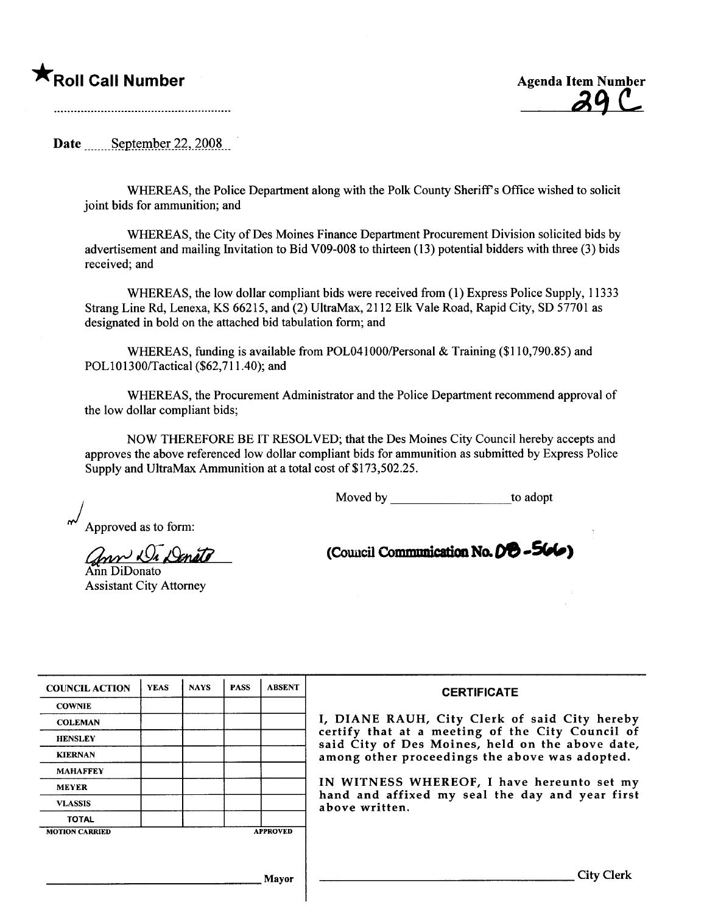A Roll Call Number Agenda Item Number Agenda Item Number Agenda Item Number Agenda Item Number  $\mathcal{A} \mathcal{C}$ 

Date  $S$ eptember 22, 2008

WHEREAS, the Police Department along with the Polk County Sheriff's Office wished to solicit joint bids for ammunition; and

WHEREAS, the City of Des Moines Finance Department Procurement Division solicited bids by advertisement and mailing Invitation to Bid V09-008 to thirteen (13) potential bidders with three (3) bids received; and

WHEREAS, the low dollar compliant bids were received from (1) Express Police Supply, 11333 Strang Line Rd, Lenexa, KS 66215, and (2) UltraMax, 2112 Elk Vale Road, Rapid City, SO 57701 as designated in bold on the attached bid tabulation form; and

WHEREAS, funding is available from POL041000/Personal & Training  $(\$110,790.85)$  and POLI01300/Tactical (\$62,711.40); and

WHREAS, the Procurement Administrator and the Police Deparment recommend approval of the low dollar compliant bids;

NOW THEREFORE BE IT RESOLVED; that the Des Moines City Council hereby accepts and approves the above referenced low dollar compliant bids for ammunition as submitted by Express Police Supply and UltraMax Ammunition at a total cost of \$173,502.25.

Moved by to adopt

) Approved as to form:

ann Di Denite

Assistant City Attorney

(Council Communication No.  $D<sup>o</sup>$  -  $5\omega$ )

| <b>COUNCIL ACTION</b> | <b>YEAS</b> | <b>NAYS</b> | <b>PASS</b> | <b>ABSENT</b>   | <b>CERTIFICATE</b>                                                                                   |
|-----------------------|-------------|-------------|-------------|-----------------|------------------------------------------------------------------------------------------------------|
| <b>COWNIE</b>         |             |             |             |                 |                                                                                                      |
| <b>COLEMAN</b>        |             |             |             |                 | I, DIANE RAUH, City Clerk of said City hereby                                                        |
| <b>HENSLEY</b>        |             |             |             |                 | certify that at a meeting of the City Council of<br>said City of Des Moines, held on the above date, |
| <b>KIERNAN</b>        |             |             |             |                 | among other proceedings the above was adopted.                                                       |
| <b>MAHAFFEY</b>       |             |             |             |                 |                                                                                                      |
| <b>MEYER</b>          |             |             |             |                 | IN WITNESS WHEREOF, I have hereunto set my                                                           |
| <b>VLASSIS</b>        |             |             |             |                 | hand and affixed my seal the day and year first<br>above written.                                    |
| <b>TOTAL</b>          |             |             |             |                 |                                                                                                      |
| <b>MOTION CARRIED</b> |             |             |             | <b>APPROVED</b> |                                                                                                      |
|                       |             |             |             |                 |                                                                                                      |
|                       |             |             |             |                 |                                                                                                      |
|                       |             |             |             | Mayor           | <b>City Clerk</b>                                                                                    |
|                       |             |             |             |                 |                                                                                                      |